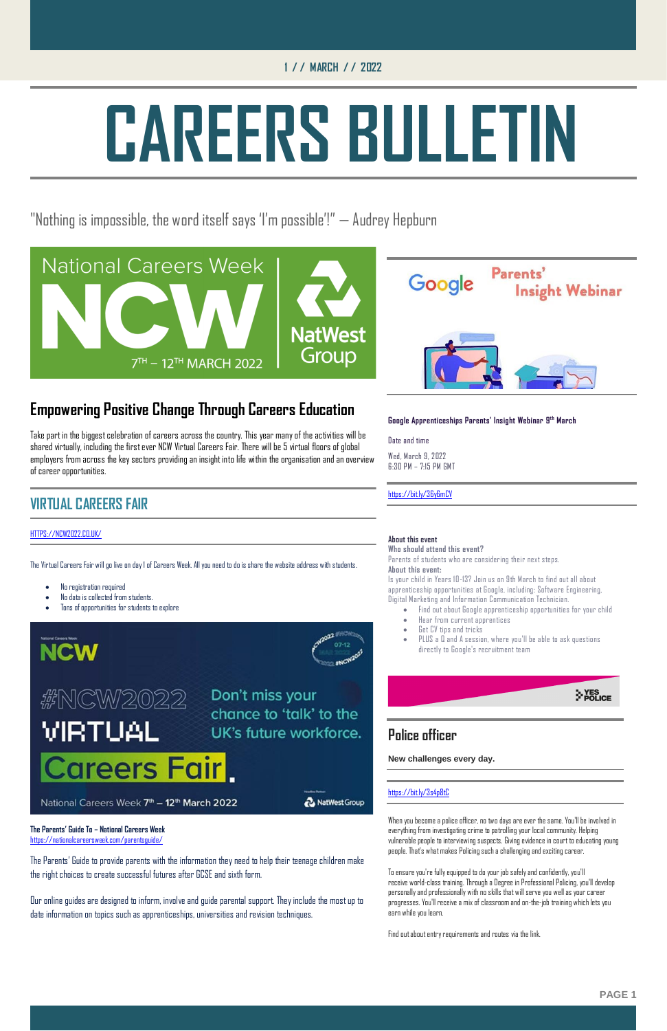### **1 / / MARCH / / 2022**

# **CAREERS BULLETIN**

"Nothing is impossible, the word itself says 'I'm possible'!" — Audrey Hepburn





### **Empowering Positive Change Through Careers Education**

Take part in the biggest celebration of careers across the country. This year many of the activities will be shared virtually, including the first ever NCW Virtual Careers Fair. There will be 5 virtual floors of global employers from across the key sectors providing an insight into life within the organisation and an overview of career opportunities.

### **VIRTUAL CAREERS FAIR**

### HTTPS://NCW2022.CO.UK/

The Virtual Careers Fair will go live on day 1 of Careers Week. All you need to do is share the website address with students.

- No registration required
- No data is collected from students.
- Tons of opportunities for students to explore



### W/2022 VIRT 'UAI

Don't miss your chance to 'talk' to the UK's future workforce.

**The Parents' Guide To – National Careers Week** <https://nationalcareersweek.com/parentsguide/>

The Parents' Guide to provide parents with the information they need to help their teenage children make the right choices to create successful futures after GCSE and sixth form.

Our online guides are designed to inform, involve and guide parental support. They include the most up to date information on topics such as apprenticeships, universities and revision techniques.

**Google Apprenticeships Parents' Insight Webinar 9 th March**

### Date and time

Wed, March 9, 2022 6:30 PM – 7:15 PM GMT

### <https://bit.ly/36y6mCV>

### **About this event**

**Who should attend this event?**

Parents of students who are considering their next steps. **About this event:**

Is your child in Years 10-13? Join us on 9th March to find out all about apprenticeship opportunities at Google, including: Software Engineering, Digital Marketing and Information Communication Technician.

- Find out about Google apprenticeship opportunities for your child
- Hear from current apprentices
- Get CV tips and tricks
- PLUS a Q and A session, where you'll be able to ask questions directly to Google's recruitment team



### **Police officer**

**New challenges every day.**

### areers Fair

National Careers Week 7th - 12th March 2022

NatWest Group

<https://bit.ly/3s4p8tC>

When you become a police officer, no two days are ever the same. You'll be involved in everything from investigating crime to patrolling your local community. Helping vulnerable people to interviewing suspects. Giving evidence in court to educating young people. That's what makes Policing such a challenging and exciting career.

To ensure you're fully equipped to do your job safely and confidently, you'll receive world-class training. Through a Degree in Professional Policing, you'll develop personally and professionally with no skills that will serve you well as your career progresses. You'll receive a mix of classroom and on-the-job training which lets you earn while you learn.

Find out about entry requirements and routes via the link.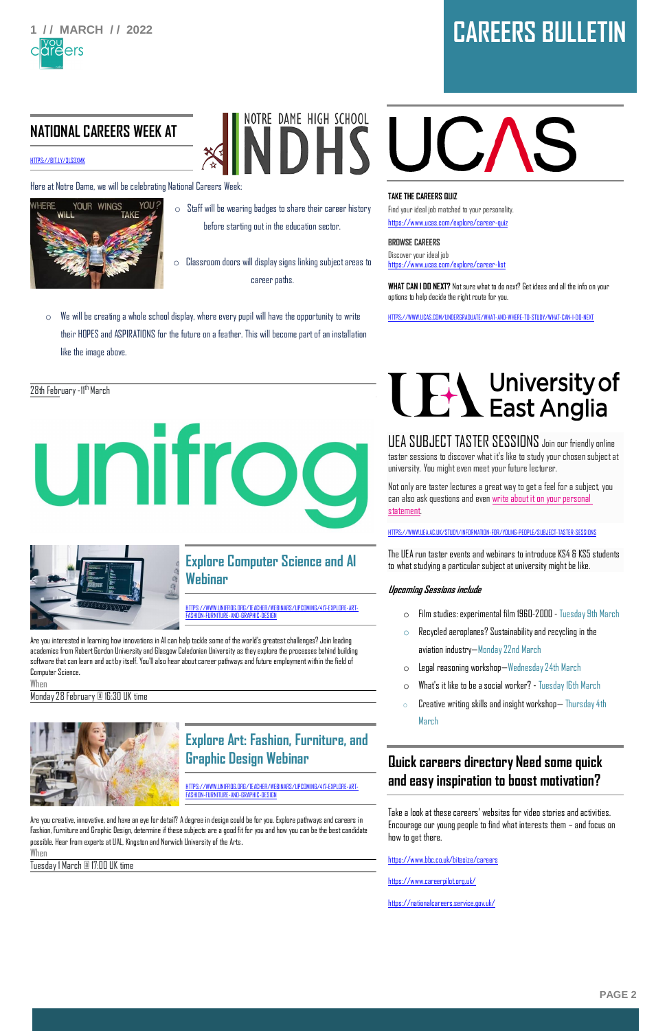

## **1 / / MARCH / / 2022 CAREERS BULLETIN**

### **NATIONAL CAREERS WEEK AT**

[HTTPS://BIT.LY/3LS3XMK](https://bit.ly/3LS3XmK)

Here at Notre Dame, we will be celebrating National Careers Week:



 $\circ$  Staff will be wearing badges to share their career history before starting out in the education sector.

NOTRE DAME HIGH SCHOOL

- $\circ$  Classroom doors will display signs linking subject areas to career paths.
- $\circ$  We will be creating a whole school display, where every pupil will have the opportunity to write their HOPES and ASPIRATIONS for the future on a feather. This will become part of an installation like the image above.

### 28th February -11<sup>th</sup> March





### **Explore Computer Science and AI Webinar**

HTTPS://WWW.UNIFROG.ORG/TEACHER/WEBINARS/UPCOMING/417-EXPLORE-ART-FASHION-FURNITURE-AND-GRAPHIC-DESIGN

Are you interested in learning how innovations in AI can help tackle some of the world's greatest challenges? Join leading academics from Robert Gordon University and Glasgow Caledonian University as they explore the processes behind building software that can learn and act by itself. You'll also hear about career pathways and future employment within the field of Computer Science.

When Monday 28 February @ 16:30 UK time



**Explore Art: Fashion, Furniture, and** 

# i UCAS

### **Graphic Design Webinar**

HTTPS://WWW.UNIFROG.ORG/TEACHER/WEBINARS/UPCOMING/417-EXPLORE-ART-FASHION-FURNITURE-AND-GRAPHIC-DESIGN

Are you creative, innovative, and have an eye for detail? A degree in design could be for you. Explore pathways and careers in Fashion, Furniture and Graphic Design, determine if these subjects are a good fit for you and how you can be the best candidate possible. Hear from experts at UAL, Kingston and Norwich University of the Arts.

When

Tuesday 1 March @ 17:00 UK time

### **TAKE THE CAREERS QUIZ**

Find your ideal job matched to your personality. <https://www.ucas.com/explore/career-quiz>

**BROWSE CAREERS** Discover your ideal job <https://www.ucas.com/explore/career-list>

**WHAT CAN I DO NEXT?** Not sure what to do next? Get ideas and all the info on your options to help decide the right route for you.

[HTTPS://WWW.UCAS.COM/UNDERGRADUATE/WHAT-AND-WHERE-TO-STUDY/WHAT-CAN-I-DO-NEXT](https://www.ucas.com/undergraduate/what-and-where-to-study/what-can-i-do-next)

# **THE University of**<br> **East Anglia**

UEA SUBJECT TASTER SESSIONS Join our friendly online taster sessions to discover what it's like to study your chosen subject at university. You might even meet your future lecturer.

Not only are taster lectures a great way to get a feel for a subject, you can also ask questions and even [write about it on your personal](https://everwondered.uea.ac.uk/cms-admin/uploads/froala/file/1631616605/12047_Guest%20Lecture_Print_v3_final.pdf)  [statement.](https://everwondered.uea.ac.uk/cms-admin/uploads/froala/file/1631616605/12047_Guest%20Lecture_Print_v3_final.pdf)

[HTTPS://WWW.UEA.AC.UK/STUDY/INFORMATION-FOR/YOUNG-PEOPLE/SUBJECT-TASTER-SESSIONS](https://www.uea.ac.uk/study/information-for/young-people/subject-taster-sessions)

The UEA run taster events and webinars to introduce KS4 & KS5 students to what studying a particular subject at university might be like.

### **Upcoming Sessions include**

- o Film studies: experimental film 1960-2000 Tuesday 9th March
- $\circ$  Recycled aeroplanes? Sustainability and recycling in the aviation industry—Monday 22nd March
- o Legal reasoning workshop—Wednesday 24th March
- o What's it like to be a social worker? Tuesday 16th March
- $\circ$  Creative writing skills and insight workshop— Thursday 4th March

### **Quick careers directory Need some quick and easy inspiration to boost motivation?**

Take a look at these careers' websites for video stories and activities. Encourage our young people to find what interests them – and focus on how to get there.

<https://www.bbc.co.uk/bitesize/careers>

<https://www.careerpilot.org.uk/>

<https://nationalcareers.service.gov.uk/>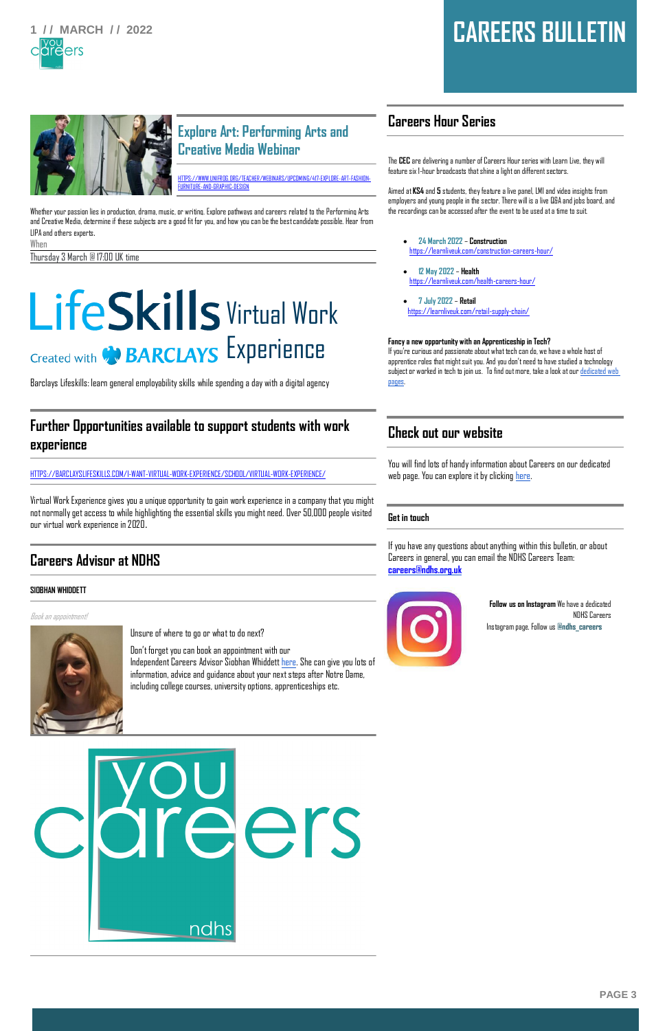

### **1 / / MARCH / / 2022 CAREERS BULLETIN**



### **Explore Art: Performing Arts and Creative Media Webinar**

HTTPS://WWW.UNIFROG.ORG/TEACHER/WEBINARS/UPCOMING/417-EXPLORE-ART-FASHION-FURNITURE-AND-GRAPHIC-DESIGN

Whether your passion lies in production, drama, music, or writing. Explore pathways and careers related to the Performing Arts and Creative Media, determine if these subjects are a good fit for you, and how you can be the best candidate possible. Hear from LIPA and others experts.

When Thursday 3 March @ 17:00 UK time

## LifeSkills Virtual Work Created with **ON BARCLAYS** EXPEPIENCE

Barclays Lifeskills: learn general employability skills while spending a day with a digital agency

### **Further Opportunities available to support students with work experience**

HTTPS://BARCLAYSLIFESKILLS.COM/I-WANT-VIRTUAL-WORK-EXPERIENCE/SCHOOL/VIRTUAL-WORK-EXPERIENCE/

Virtual Work Experience gives you a unique opportunity to gain work experience in a company that you might not normally get access to while highlighting the essential skills you might need. Over 50,000 people visited our virtual work experience in 2020.

### **Careers Advisor at NDHS**

### **SIOBHAN WHIDDETT**

Book an appointment!



Unsure of where to go or what to do next?

Don't forget you can book an appointment with our Independent Careers Advisor Siobhan Whiddet[t here.](https://www.ndhs.org.uk/form/?pid=343&form=17) She can give you lots of information, advice and guidance about your next steps after Notre Dame, including college courses, university options, apprenticeships etc.

### **Careers Hour Series**

The **CEC** are delivering a number of Careers Hour series with Learn Live, they will feature six 1-hour broadcasts that shine a light on different sectors.

Aimed at **KS4** and **5** students, they feature a live panel, LMI and video insights from employers and young people in the sector. There will is a live Q&A and jobs board, and the recordings can be accessed after the event to be used at a time to suit.

- **24 March 2022 Construction** <https://learnliveuk.com/construction-careers-hour/>
- **12 May 2022 Health**  <https://learnliveuk.com/health-careers-hour/>
- **7 July 2022 Retail** <https://learnliveuk.com/retail-supply-chain/>

#### **Fancy a new opportunity with an Apprenticeship in Tech?**

If you're curious and passionate about what tech can do, we have a whole host of apprentice roles that might suit you. And you don't need to have studied a technology subject or worked in tech to join us. To find out more, take a look at ou[r dedicated web](https://eur03.safelinks.protection.outlook.com/?url=https%3A%2F%2Fcareers.aviva.co.uk%2Fstudents-graduates%2Fapprenticeships%2Ftechnology-apprenticeships%2F&data=04%7C01%7CSWhiddett1%40ndhs.org.uk%7C775820be60b942f9c7b308d9dc13f4b2%7Cee6ca979960b4e1eaf9d28fbfdc31533%7C1%7C0%7C637782800548648414%7CUnknown%7CTWFpbGZsb3d8eyJWIjoiMC4wLjAwMDAiLCJQIjoiV2luMzIiLCJBTiI6Ik1haWwiLCJXVCI6Mn0%3D%7C3000&sdata=ipx1vVuVVJEu4X%2BBvUUWlxXHJa%2BUteg139moXgBzhXk%3D&reserved=0)  [pages.](https://eur03.safelinks.protection.outlook.com/?url=https%3A%2F%2Fcareers.aviva.co.uk%2Fstudents-graduates%2Fapprenticeships%2Ftechnology-apprenticeships%2F&data=04%7C01%7CSWhiddett1%40ndhs.org.uk%7C775820be60b942f9c7b308d9dc13f4b2%7Cee6ca979960b4e1eaf9d28fbfdc31533%7C1%7C0%7C637782800548648414%7CUnknown%7CTWFpbGZsb3d8eyJWIjoiMC4wLjAwMDAiLCJQIjoiV2luMzIiLCJBTiI6Ik1haWwiLCJXVCI6Mn0%3D%7C3000&sdata=ipx1vVuVVJEu4X%2BBvUUWlxXHJa%2BUteg139moXgBzhXk%3D&reserved=0)

### **Check out our website**

You will find lots of handy information about Careers on our dedicated web page. You can explore it by clicking [here.](https://www.ndhs.org.uk/page/?title=Careers+Education%2C+Information%2C+Advice+%26amp%3B+Guidance&pid=343)

### **Get in touch**

If you have any questions about anything within this bulletin, or about Careers in general, you can email the NDHS Careers Team: **[careers@ndhs.org.uk](mailto:careers@ndhs.org.uk)**



**Follow us on Instagram** We have a dedicated NDHS Careers Instagram page. Follow us **@ndhs\_careers**